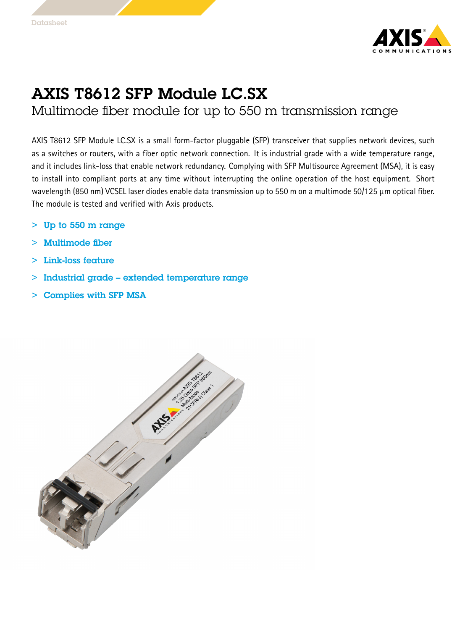

## AXIS T8612 SFP Module LC.SX

Multimode fiber module for up to 550 <sup>m</sup> transmission range

AXIS T8612 SFP Module LC.SX is <sup>a</sup> small form-factor pluggable (SFP) transceiver that supplies network devices, such as <sup>a</sup> switches or routers, with <sup>a</sup> fiber optic network connection. It is industrial grade with <sup>a</sup> wide temperature range, and it includes link-loss that enable network redundancy. Complying with SFP Multisource Agreement (MSA), it is easy to install into compliant ports at any time without interrupting the online operation of the host equipment. Short wavelength (850 nm) VCSEL laser diodes enable data transmission up to <sup>550</sup> <sup>m</sup> on <sup>a</sup> multimode 50/125 μm optical fiber. The module is tested and verified with Axis products.

- > Up to 550 <sup>m</sup> range
	- >Multimode fiber
- > Link-loss feature
	- $>$ Industrial grade – extended temperature range
- > Complies with SFP MSA